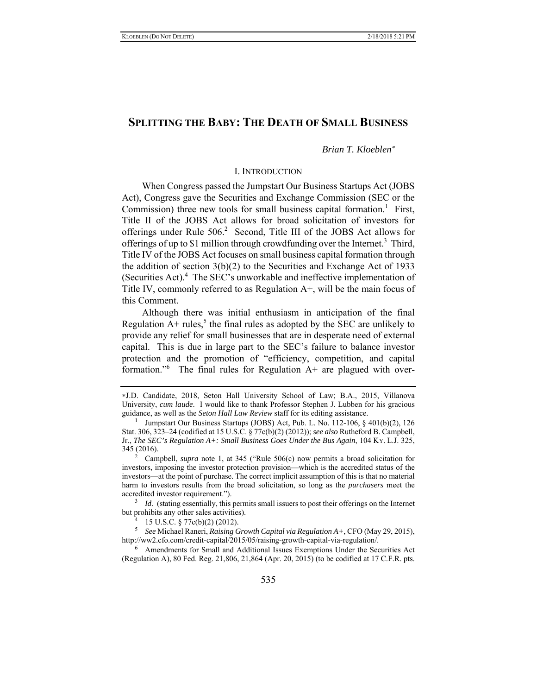# **SPLITTING THE BABY: THE DEATH OF SMALL BUSINESS**

## *Brian T. Kloeblen*

## I. INTRODUCTION

When Congress passed the Jumpstart Our Business Startups Act (JOBS Act), Congress gave the Securities and Exchange Commission (SEC or the Commission) three new tools for small business capital formation.<sup>1</sup> First, Title II of the JOBS Act allows for broad solicitation of investors for offerings under Rule 506.<sup>2</sup> Second, Title III of the JOBS Act allows for offerings of up to \$1 million through crowdfunding over the Internet.<sup>3</sup> Third, Title IV of the JOBS Act focuses on small business capital formation through the addition of section  $3(b)(2)$  to the Securities and Exchange Act of 1933 (Securities Act).<sup>4</sup> The SEC's unworkable and ineffective implementation of Title IV, commonly referred to as Regulation A+, will be the main focus of this Comment.

Although there was initial enthusiasm in anticipation of the final Regulation  $A+$  rules,<sup>5</sup> the final rules as adopted by the SEC are unlikely to provide any relief for small businesses that are in desperate need of external capital. This is due in large part to the SEC's failure to balance investor protection and the promotion of "efficiency, competition, and capital formation."<sup>6</sup> The final rules for Regulation A+ are plagued with over-

<sup>3</sup> *Id.* (stating essentially, this permits small issuers to post their offerings on the Internet but prohibits any other sales activities). 4

 $^{4}$  15 U.S.C. § 77c(b)(2) (2012).

5 *See* Michael Raneri, *Raising Growth Capital via Regulation A+*, CFO (May 29, 2015), http://ww2.cfo.com/credit-capital/2015/05/raising-growth-capital-via-regulation/.

<sup>6</sup> Amendments for Small and Additional Issues Exemptions Under the Securities Act (Regulation A), 80 Fed. Reg. 21,806, 21,864 (Apr. 20, 2015) (to be codified at 17 C.F.R. pts.

J.D. Candidate, 2018, Seton Hall University School of Law; B.A., 2015, Villanova University, *cum laude*. I would like to thank Professor Stephen J. Lubben for his gracious guidance, as well as the *Seton Hall Law Review* staff for its editing assistance. 1

<sup>&</sup>lt;sup>1</sup> Jumpstart Our Business Startups (JOBS) Act, Pub. L. No. 112-106,  $\frac{1}{2}$  401(b)(2), 126 Stat. 306, 323–24 (codified at 15 U.S.C. § 77c(b)(2) (2012)); *see also* Rutheford B. Campbell, Jr., *The SEC's Regulation A+: Small Business Goes Under the Bus Again*, 104 KY. L.J. 325, 345 (2016). 2

Campbell, *supra* note 1, at 345 ("Rule 506(c) now permits a broad solicitation for investors, imposing the investor protection provision—which is the accredited status of the investors—at the point of purchase. The correct implicit assumption of this is that no material harm to investors results from the broad solicitation, so long as the *purchasers* meet the accredited investor requirement.").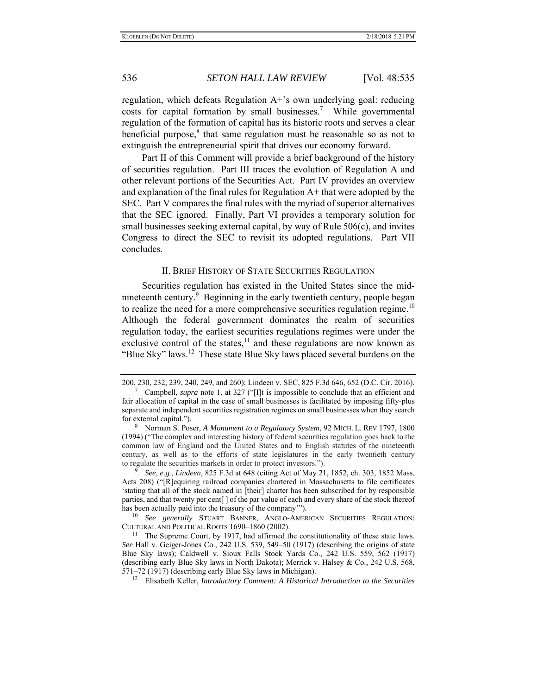regulation, which defeats Regulation A+'s own underlying goal: reducing costs for capital formation by small businesses.<sup>7</sup> While governmental regulation of the formation of capital has its historic roots and serves a clear beneficial purpose, ${}^{8}$  that same regulation must be reasonable so as not to extinguish the entrepreneurial spirit that drives our economy forward.

Part II of this Comment will provide a brief background of the history of securities regulation. Part III traces the evolution of Regulation A and other relevant portions of the Securities Act. Part IV provides an overview and explanation of the final rules for Regulation  $A<sup>+</sup>$  that were adopted by the SEC. Part V compares the final rules with the myriad of superior alternatives that the SEC ignored. Finally, Part VI provides a temporary solution for small businesses seeking external capital, by way of Rule 506(c), and invites Congress to direct the SEC to revisit its adopted regulations. Part VII concludes.

## II. BRIEF HISTORY OF STATE SECURITIES REGULATION

Securities regulation has existed in the United States since the midnineteenth century.<sup>9</sup> Beginning in the early twentieth century, people began to realize the need for a more comprehensive securities regulation regime.<sup>10</sup> Although the federal government dominates the realm of securities regulation today, the earliest securities regulations regimes were under the exclusive control of the states, $\frac{11}{11}$  and these regulations are now known as "Blue Sky" laws.<sup>12</sup> These state Blue Sky laws placed several burdens on the

<sup>200, 230, 232, 239, 240, 249,</sup> and 260); Lindeen v. SEC, 825 F.3d 646, 652 (D.C. Cir. 2016). 7 Campbell, *supra* note 1, at 327 ("[I]t is impossible to conclude that an efficient and

fair allocation of capital in the case of small businesses is facilitated by imposing fifty-plus separate and independent securities registration regimes on small businesses when they search for external capital.").

<sup>8</sup> Norman S. Poser, *A Monument to a Regulatory System*, 92 MICH. L. REV 1797, 1800 (1994) ("The complex and interesting history of federal securities regulation goes back to the common law of England and the United States and to English statutes of the nineteenth century, as well as to the efforts of state legislatures in the early twentieth century to regulate the securities markets in order to protect investors.").

<sup>9</sup> *See, e.g.*, *Lindeen*, 825 F.3d at 648 (citing Act of May 21, 1852, ch. 303, 1852 Mass. Acts 208) ("[R]equiring railroad companies chartered in Massachusetts to file certificates 'stating that all of the stock named in [their] charter has been subscribed for by responsible parties, and that twenty per cent[ ] of the par value of each and every share of the stock thereof has been actually paid into the treasury of the company'").

<sup>10</sup> *See generally* STUART BANNER, ANGLO-AMERICAN SECURITIES REGULATION: CULTURAL AND POLITICAL ROOTS 1690–1860 (2002). 11 The Supreme Court, by 1917, had affirmed the constitutionality of these state laws.

*See* Hall v. Geiger-Jones Co., 242 U.S. 539, 549–50 (1917) (describing the origins of state Blue Sky laws); Caldwell v. Sioux Falls Stock Yards Co., 242 U.S. 559, 562 (1917) (describing early Blue Sky laws in North Dakota); Merrick v. Halsey & Co., 242 U.S. 568, 571–72 (1917) (describing early Blue Sky laws in Michigan). 12 Elisabeth Keller, *Introductory Comment: A Historical Introduction to the Securities*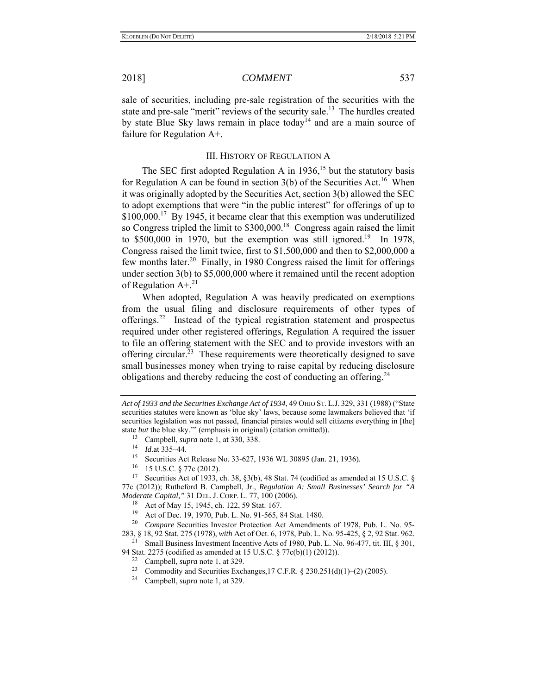sale of securities, including pre-sale registration of the securities with the state and pre-sale "merit" reviews of the security sale.<sup>13</sup> The hurdles created by state Blue Sky laws remain in place today<sup>14</sup> and are a main source of failure for Regulation A+.

## III. HISTORY OF REGULATION A

The SEC first adopted Regulation A in  $1936$ ,<sup>15</sup> but the statutory basis for Regulation A can be found in section  $3(b)$  of the Securities Act.<sup>16</sup> When it was originally adopted by the Securities Act, section 3(b) allowed the SEC to adopt exemptions that were "in the public interest" for offerings of up to \$100,000.<sup>17</sup> By 1945, it became clear that this exemption was underutilized so Congress tripled the limit to  $$300,000$ <sup>18</sup> Congress again raised the limit to  $$500,000$  in 1970, but the exemption was still ignored.<sup>19</sup> In 1978, Congress raised the limit twice, first to \$1,500,000 and then to \$2,000,000 a few months later.<sup>20</sup> Finally, in 1980 Congress raised the limit for offerings under section 3(b) to \$5,000,000 where it remained until the recent adoption of Regulation  $A +$ .<sup>21</sup>

When adopted, Regulation A was heavily predicated on exemptions from the usual filing and disclosure requirements of other types of offerings.22 Instead of the typical registration statement and prospectus required under other registered offerings, Regulation A required the issuer to file an offering statement with the SEC and to provide investors with an offering circular.<sup>23</sup> These requirements were theoretically designed to save small businesses money when trying to raise capital by reducing disclosure obligations and thereby reducing the cost of conducting an offering.<sup>24</sup>

94 Stat. 2275 (codified as amended at 15 U.S.C. § 77c(b)(1) (2012)). 22 Campbell, *supra* note 1, at 329.

- 
- Commodity and Securities Exchanges,17 C.F.R. § 230.251(d)(1)–(2) (2005). Campbell, *supra* note 1, at 329.
- 

*Act of 1933 and the Securities Exchange Act of 1934*, 49 OHIO ST. L.J. 329, 331 (1988) ("State securities statutes were known as 'blue sky' laws, because some lawmakers believed that 'if securities legislation was not passed, financial pirates would sell citizens everything in [the] state *but* the blue sky.'" (emphasis in original) (citation omitted)).

<sup>13</sup> Campbell, *supra* note 1, at 330, 338. 14 *Id.*at 335–44.

<sup>&</sup>lt;sup>15</sup> Securities Act Release No. 33-627, 1936 WL 30895 (Jan. 21, 1936).<br><sup>16</sup> 15 U S C & 77c (2012).

 $^{16}$  15 U.S.C. § 77c (2012).<br><sup>17</sup> Securities Act of 1933 of

Securities Act of 1933, ch. 38, §3(b), 48 Stat. 74 (codified as amended at 15 U.S.C. § 77c (2012)); Rutheford B. Campbell, Jr., *Regulation A: Small Businesses' Search for "A Moderate Capital,"* 31 DEL. J. CORP. L. 77, 100 (2006).

<sup>18</sup> Act of May 15, 1945, ch. 122, 59 Stat. 167.

<sup>19</sup> Act of Dec. 19, 1970, Pub. L. No. 91-565, 84 Stat. 1480.

<sup>20</sup> *Compare* Securities Investor Protection Act Amendments of 1978, Pub. L. No. 95-

<sup>283, § 18, 92</sup> Stat. 275 (1978), *with* Act of Oct. 6, 1978, Pub. L. No. 95-425, § 2, 92 Stat. 962. 21 Small Business Investment Incentive Acts of 1980, Pub. L. No. 96-477, tit. III, § 301,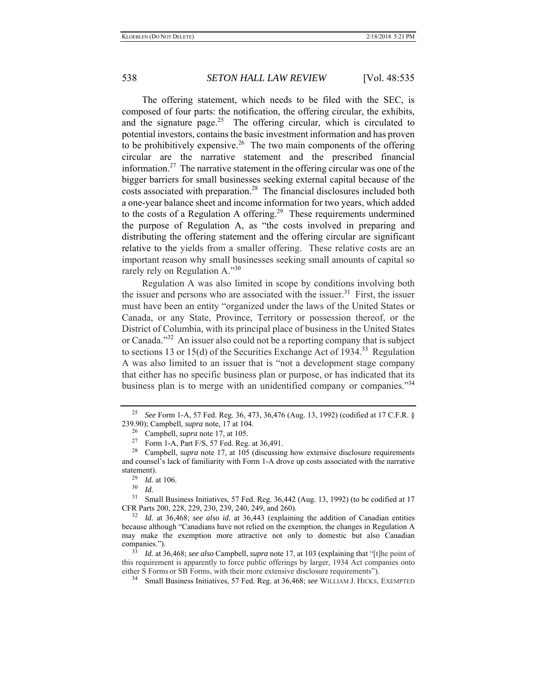The offering statement, which needs to be filed with the SEC, is composed of four parts: the notification, the offering circular, the exhibits, and the signature page.<sup>25</sup> The offering circular, which is circulated to potential investors, contains the basic investment information and has proven to be prohibitively expensive.<sup>26</sup> The two main components of the offering circular are the narrative statement and the prescribed financial information.<sup>27</sup> The narrative statement in the offering circular was one of the bigger barriers for small businesses seeking external capital because of the costs associated with preparation.<sup>28</sup> The financial disclosures included both a one-year balance sheet and income information for two years, which added to the costs of a Regulation A offering.<sup>29</sup> These requirements undermined the purpose of Regulation A, as "the costs involved in preparing and distributing the offering statement and the offering circular are significant relative to the yields from a smaller offering. These relative costs are an important reason why small businesses seeking small amounts of capital so rarely rely on Regulation A."<sup>30</sup>

Regulation A was also limited in scope by conditions involving both the issuer and persons who are associated with the issuer.<sup>31</sup> First, the issuer must have been an entity "organized under the laws of the United States or Canada, or any State, Province, Territory or possession thereof, or the District of Columbia, with its principal place of business in the United States or Canada."32 An issuer also could not be a reporting company that is subject to sections 13 or 15(d) of the Securities Exchange Act of 1934.<sup>33</sup> Regulation A was also limited to an issuer that is "not a development stage company that either has no specific business plan or purpose, or has indicated that its business plan is to merge with an unidentified company or companies."<sup>34</sup>

<sup>25</sup> *See* Form 1-A, 57 Fed. Reg. 36, 473, 36,476 (Aug. 13, 1992) (codified at 17 C.F.R. § 239.90); Campbell, *supra* note, 17 at 104.

<sup>26</sup> Campbell, *supra* note 17, at 105.

<sup>&</sup>lt;sup>27</sup> Form 1-A, Part F/S, 57 Fed. Reg. at  $36,491$ .

<sup>&</sup>lt;sup>28</sup> Campbell, *supra* note 17, at 105 (discussing how extensive disclosure requirements and counsel's lack of familiarity with Form 1-A drove up costs associated with the narrative statement).<br> $^{29}$   $^{14}$ 

 $\frac{29}{30}$  *Id.* at 106.

 $rac{30}{31}$  *Id.* 

Small Business Initiatives, 57 Fed. Reg. 36,442 (Aug. 13, 1992) (to be codified at 17 CFR Parts 200, 228, 229, 230, 239, 240, 249, and 260).

<sup>32</sup> *Id.* at 36,468; *see also id.* at 36,443 (explaining the addition of Canadian entities because although "Canadians have not relied on the exemption, the changes in Regulation A may make the exemption more attractive not only to domestic but also Canadian companies.").

<sup>33</sup> *Id.* at 36,468; *see also* Campbell, *supra* note 17, at 103 (explaining that "[t]he point of this requirement is apparently to force public offerings by larger, 1934 Act companies onto either S Forms or SB Forms, with their more extensive disclosure requirements").

<sup>34</sup> Small Business Initiatives, 57 Fed. Reg. at 36,468; *see* WILLIAM J. HICKS, EXEMPTED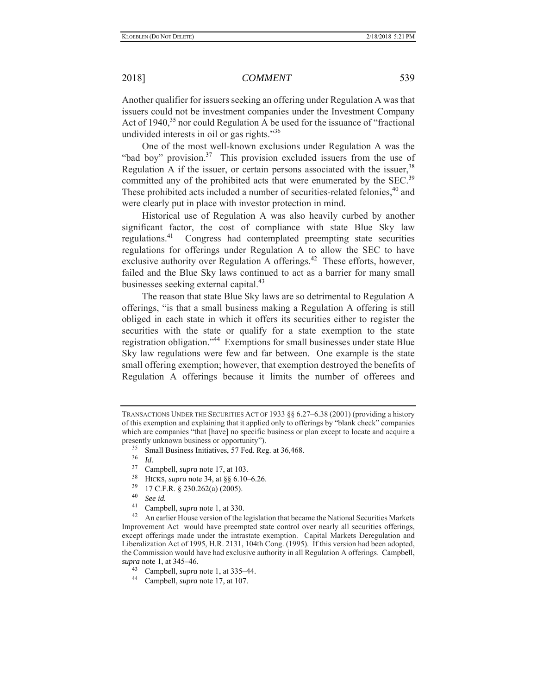Another qualifier for issuers seeking an offering under Regulation A was that issuers could not be investment companies under the Investment Company Act of  $1940$ ,<sup>35</sup> nor could Regulation A be used for the issuance of "fractional" undivided interests in oil or gas rights."<sup>36</sup>

One of the most well-known exclusions under Regulation A was the "bad boy" provision.<sup>37</sup> This provision excluded issuers from the use of Regulation A if the issuer, or certain persons associated with the issuer,  $38$ committed any of the prohibited acts that were enumerated by the SEC.<sup>39</sup> These prohibited acts included a number of securities-related felonies,<sup>40</sup> and were clearly put in place with investor protection in mind.

Historical use of Regulation A was also heavily curbed by another significant factor, the cost of compliance with state Blue Sky law regulations.41 Congress had contemplated preempting state securities regulations for offerings under Regulation A to allow the SEC to have exclusive authority over Regulation A offerings.<sup>42</sup> These efforts, however, failed and the Blue Sky laws continued to act as a barrier for many small businesses seeking external capital.<sup>43</sup>

The reason that state Blue Sky laws are so detrimental to Regulation A offerings, "is that a small business making a Regulation A offering is still obliged in each state in which it offers its securities either to register the securities with the state or qualify for a state exemption to the state registration obligation."44 Exemptions for small businesses under state Blue Sky law regulations were few and far between. One example is the state small offering exemption; however, that exemption destroyed the benefits of Regulation A offerings because it limits the number of offerees and

- $\frac{35}{36}$  Small Business Initiatives, 57 Fed. Reg. at 36,468.
- $rac{36}{37}$  *Id.*

- <sup>38</sup> HICKS, *supra* note 34, at  $\S$ § 6.10–6.26.<br><sup>39</sup> 17 C E B  $\S$  320, 363(a) (2005)
- $^{39}$  17 C.F.R. § 230.262(a) (2005).
- 
- 

40 See id.<br><sup>41</sup> Campbell, *supra* note 1, at 330.<br><sup>42</sup> An earlier House version of the legislation that became the National Securities Markets Improvement Act would have preempted state control over nearly all securities offerings, except offerings made under the intrastate exemption. Capital Markets Deregulation and Liberalization Act of 1995, H.R. 2131, 104th Cong. (1995). If this version had been adopted, the Commission would have had exclusive authority in all Regulation A offerings. Campbell, *supra* note 1, at 345–46.

- 43 Campbell, *supra* note 1, at 335–44. 44 Campbell, *supra* note 17, at 107.
- 

TRANSACTIONS UNDER THE SECURITIES ACT OF 1933 §§ 6.27–6.38 (2001) (providing a history of this exemption and explaining that it applied only to offerings by "blank check" companies which are companies "that [have] no specific business or plan except to locate and acquire a presently unknown business or opportunity").

 $\frac{37}{38}$  Campbell, *supra* note 17, at 103.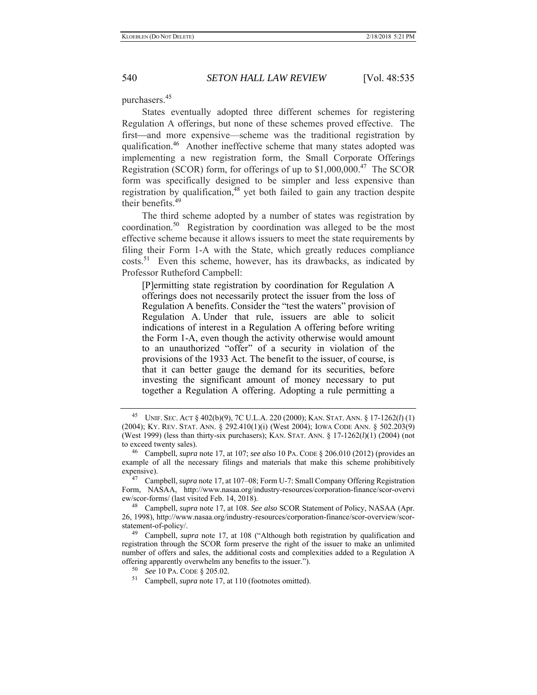purchasers.<sup>45</sup>

States eventually adopted three different schemes for registering Regulation A offerings, but none of these schemes proved effective. The first—and more expensive—scheme was the traditional registration by qualification.46 Another ineffective scheme that many states adopted was implementing a new registration form, the Small Corporate Offerings Registration (SCOR) form, for offerings of up to  $$1,000,000.<sup>47</sup>$  The SCOR form was specifically designed to be simpler and less expensive than registration by qualification, $48$  yet both failed to gain any traction despite their benefits.<sup>49</sup>

The third scheme adopted by a number of states was registration by coordination.50 Registration by coordination was alleged to be the most effective scheme because it allows issuers to meet the state requirements by filing their Form 1-A with the State, which greatly reduces compliance costs.51 Even this scheme, however, has its drawbacks, as indicated by Professor Rutheford Campbell:

[P]ermitting state registration by coordination for Regulation A offerings does not necessarily protect the issuer from the loss of Regulation A benefits. Consider the "test the waters" provision of Regulation A. Under that rule, issuers are able to solicit indications of interest in a Regulation A offering before writing the Form 1-A, even though the activity otherwise would amount to an unauthorized "offer" of a security in violation of the provisions of the 1933 Act. The benefit to the issuer, of course, is that it can better gauge the demand for its securities, before investing the significant amount of money necessary to put together a Regulation A offering. Adopting a rule permitting a

<sup>45</sup> UNIF. SEC. ACT § 402(b)(9), 7C U.L.A. 220 (2000); KAN. STAT. ANN. § 17-1262(*l*) (1) (2004); KY. REV. STAT. ANN. § 292.410(1)(i) (West 2004); IOWA CODE ANN. § 502.203(9) (West 1999) (less than thirty-six purchasers); KAN. STAT. ANN. § 17-1262(*l*)(1) (2004) (not to exceed twenty sales).

<sup>46</sup> Campbell, *supra* note 17, at 107; *see also* 10 PA. CODE § 206.010 (2012) (provides an example of all the necessary filings and materials that make this scheme prohibitively expensive).

<sup>47</sup> Campbell, *supra* note 17, at 107–08; Form U-7: Small Company Offering Registration Form, NASAA, http://www.nasaa.org/industry-resources/corporation-finance/scor-overvi ew/scor-forms/ (last visited Feb. 14, 2018).<br> $^{48}$  Campbell, sung pata 17, at 108. Sa

<sup>48</sup> Campbell, *supra* note 17, at 108. *See also* SCOR Statement of Policy, NASAA (Apr. 26, 1998), http://www.nasaa.org/industry-resources/corporation-finance/scor-overview/scorstatement-of-policy/.

<sup>49</sup> Campbell, *supra* note 17, at 108 ("Although both registration by qualification and registration through the SCOR form preserve the right of the issuer to make an unlimited number of offers and sales, the additional costs and complexities added to a Regulation A offering apparently overwhelm any benefits to the issuer.").

<sup>50</sup> *See* 10 PA. CODE § 205.02.

<sup>51</sup> Campbell, *supra* note 17, at 110 (footnotes omitted).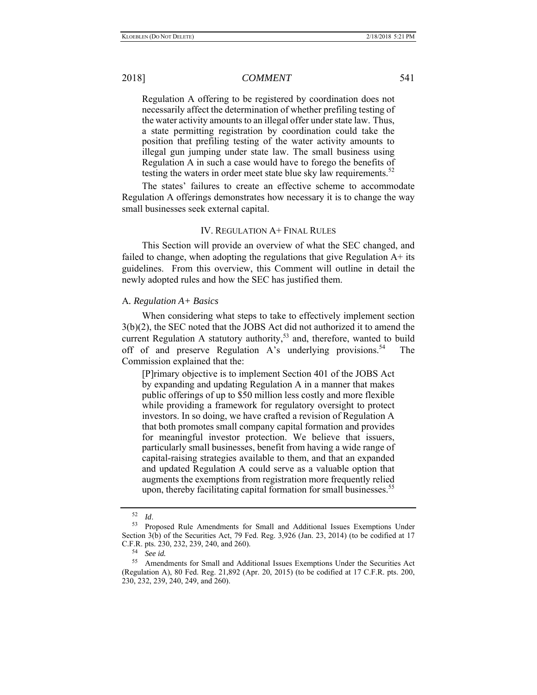Regulation A offering to be registered by coordination does not necessarily affect the determination of whether prefiling testing of the water activity amounts to an illegal offer under state law. Thus, a state permitting registration by coordination could take the position that prefiling testing of the water activity amounts to illegal gun jumping under state law. The small business using Regulation A in such a case would have to forego the benefits of testing the waters in order meet state blue sky law requirements. $52$ 

The states' failures to create an effective scheme to accommodate Regulation A offerings demonstrates how necessary it is to change the way small businesses seek external capital.

## IV. REGULATION A+ FINAL RULES

This Section will provide an overview of what the SEC changed, and failed to change, when adopting the regulations that give Regulation  $A<sup>+</sup>$  its guidelines. From this overview, this Comment will outline in detail the newly adopted rules and how the SEC has justified them.

## A*. Regulation A+ Basics*

When considering what steps to take to effectively implement section 3(b)(2), the SEC noted that the JOBS Act did not authorized it to amend the current Regulation A statutory authority,<sup>53</sup> and, therefore, wanted to build off of and preserve Regulation A's underlying provisions.<sup>54</sup> The Commission explained that the:

[P]rimary objective is to implement Section 401 of the JOBS Act by expanding and updating Regulation A in a manner that makes public offerings of up to \$50 million less costly and more flexible while providing a framework for regulatory oversight to protect investors. In so doing, we have crafted a revision of Regulation A that both promotes small company capital formation and provides for meaningful investor protection. We believe that issuers, particularly small businesses, benefit from having a wide range of capital-raising strategies available to them, and that an expanded and updated Regulation A could serve as a valuable option that augments the exemptions from registration more frequently relied upon, thereby facilitating capital formation for small businesses.<sup>55</sup>

<sup>52</sup>*Id*. 53 Proposed Rule Amendments for Small and Additional Issues Exemptions Under Section 3(b) of the Securities Act, 79 Fed. Reg. 3,926 (Jan. 23, 2014) (to be codified at 17 C.F.R. pts. 230, 232, 239, 240, and 260).

<sup>54</sup> *See id.*

Amendments for Small and Additional Issues Exemptions Under the Securities Act (Regulation A), 80 Fed. Reg. 21,892 (Apr. 20, 2015) (to be codified at 17 C.F.R. pts. 200, 230, 232, 239, 240, 249, and 260).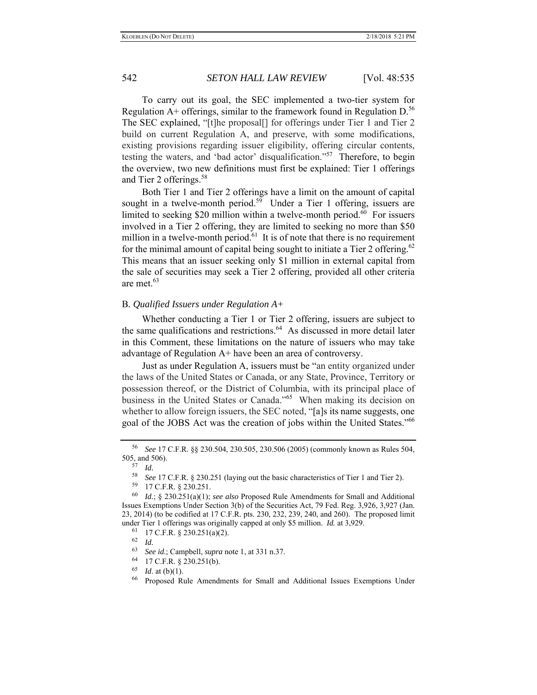To carry out its goal, the SEC implemented a two-tier system for Regulation  $A<sup>+</sup>$  offerings, similar to the framework found in Regulation D.<sup>56</sup> The SEC explained, "[t]he proposal[] for offerings under Tier 1 and Tier 2 build on current Regulation A, and preserve, with some modifications, existing provisions regarding issuer eligibility, offering circular contents, testing the waters, and 'bad actor' disqualification."57 Therefore, to begin the overview, two new definitions must first be explained: Tier 1 offerings and Tier 2 offerings.<sup>58</sup>

Both Tier 1 and Tier 2 offerings have a limit on the amount of capital sought in a twelve-month period.<sup>59</sup> Under a Tier 1 offering, issuers are limited to seeking \$20 million within a twelve-month period.<sup>60</sup> For issuers involved in a Tier 2 offering, they are limited to seeking no more than \$50 million in a twelve-month period.<sup>61</sup> It is of note that there is no requirement for the minimal amount of capital being sought to initiate a Tier 2 offering.<sup>62</sup> This means that an issuer seeking only \$1 million in external capital from the sale of securities may seek a Tier 2 offering, provided all other criteria are met.63

## B*. Qualified Issuers under Regulation A+*

Whether conducting a Tier 1 or Tier 2 offering, issuers are subject to the same qualifications and restrictions.<sup>64</sup> As discussed in more detail later in this Comment, these limitations on the nature of issuers who may take advantage of Regulation A+ have been an area of controversy.

Just as under Regulation A, issuers must be "an entity organized under the laws of the United States or Canada, or any State, Province, Territory or possession thereof, or the District of Columbia, with its principal place of business in the United States or Canada."65 When making its decision on whether to allow foreign issuers, the SEC noted, "[a]s its name suggests, one goal of the JOBS Act was the creation of jobs within the United States."<sup>66</sup>

 $^{64}$  17 C.F.R. § 230.251(b).

<sup>56</sup> *See* 17 C.F.R. §§ 230.504, 230.505, 230.506 (2005) (commonly known as Rules 504, 505, and 506). 57 *Id.*

<sup>58</sup> *See* 17 C.F.R. § 230.251 (laying out the basic characteristics of Tier 1 and Tier 2).

<sup>59 17</sup> C.F.R. § 230.251.

<sup>60</sup> *Id.*; § 230.251(a)(1); *see also* Proposed Rule Amendments for Small and Additional Issues Exemptions Under Section 3(b) of the Securities Act, 79 Fed. Reg. 3,926, 3,927 (Jan. 23, 2014) (to be codified at 17 C.F.R. pts. 230, 232, 239, 240, and 260). The proposed limit under Tier 1 offerings was originally capped at only \$5 million. *Id.* at 3,929.

 $^{61}$  17 C.F.R. § 230.251(a)(2).

 $\frac{62}{63}$  *Id.* 

<sup>63</sup> *See id*.; Campbell, *supra* note 1, at 331 n.37.

 $\frac{65}{66}$  *Id.* at (b)(1).

<sup>66</sup> Proposed Rule Amendments for Small and Additional Issues Exemptions Under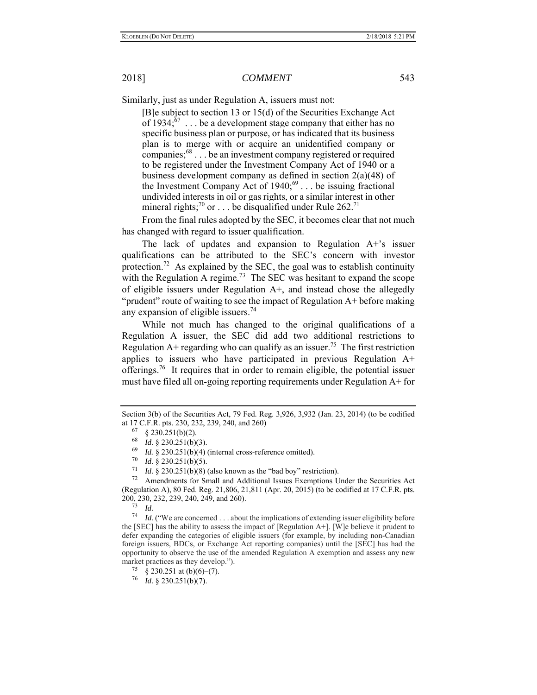Similarly, just as under Regulation A, issuers must not:

[B]e subject to section 13 or 15(d) of the Securities Exchange Act of  $1934$ ;<sup>67</sup> . . . be a development stage company that either has no specific business plan or purpose, or has indicated that its business plan is to merge with or acquire an unidentified company or companies;68 . . . be an investment company registered or required to be registered under the Investment Company Act of 1940 or a business development company as defined in section 2(a)(48) of the Investment Company Act of  $1940;^{69}$ ... be issuing fractional undivided interests in oil or gas rights, or a similar interest in other mineral rights;<sup>70</sup> or . . . be disqualified under Rule 262.<sup>71</sup>

From the final rules adopted by the SEC, it becomes clear that not much has changed with regard to issuer qualification.

The lack of updates and expansion to Regulation A+'s issuer qualifications can be attributed to the SEC's concern with investor protection.<sup>72</sup> As explained by the SEC, the goal was to establish continuity with the Regulation A regime.<sup>73</sup> The SEC was hesitant to expand the scope of eligible issuers under Regulation  $A<sup>+</sup>$ , and instead chose the allegedly "prudent" route of waiting to see the impact of Regulation A+ before making any expansion of eligible issuers.<sup>74</sup>

While not much has changed to the original qualifications of a Regulation A issuer, the SEC did add two additional restrictions to Regulation  $A+$  regarding who can qualify as an issuer.<sup>75</sup> The first restriction applies to issuers who have participated in previous Regulation A+ offerings.<sup>76</sup> It requires that in order to remain eligible, the potential issuer must have filed all on-going reporting requirements under Regulation A+ for

72 Amendments for Small and Additional Issues Exemptions Under the Securities Act (Regulation A), 80 Fed. Reg. 21,806, 21,811 (Apr. 20, 2015) (to be codified at 17 C.F.R. pts. 200, 230, 232, 239, 240, 249, and 260).

73 *Id.*

74 *Id.* ("We are concerned . . . about the implications of extending issuer eligibility before the [SEC] has the ability to assess the impact of [Regulation A+]. [W]e believe it prudent to defer expanding the categories of eligible issuers (for example, by including non-Canadian foreign issuers, BDCs, or Exchange Act reporting companies) until the [SEC] has had the opportunity to observe the use of the amended Regulation A exemption and assess any new market practices as they develop.").<br>
<sup>75</sup> § 230.251 at (b)(6)–(7).

Section 3(b) of the Securities Act, 79 Fed. Reg. 3,926, 3,932 (Jan. 23, 2014) (to be codified at 17 C.F.R. pts. 230, 232, 239, 240, and 260)

 $67 \quad \text{§ } 230.251 \text{(b)} \text{(2)}.$ 

 $\frac{68}{69}$  *Id.* § 230.251(b)(3).

*Id.* § 230.251(b)(4) (internal cross-reference omitted).

<sup>&</sup>lt;sup>70</sup> *Id.* § 230.251(b)(5).<br>
<sup>71</sup> *Id.* § 230.251(b)(8).

*Id.* §  $230.251(b)(8)$  (also known as the "bad boy" restriction).

<sup>76</sup> *Id.* § 230.251(b)(7).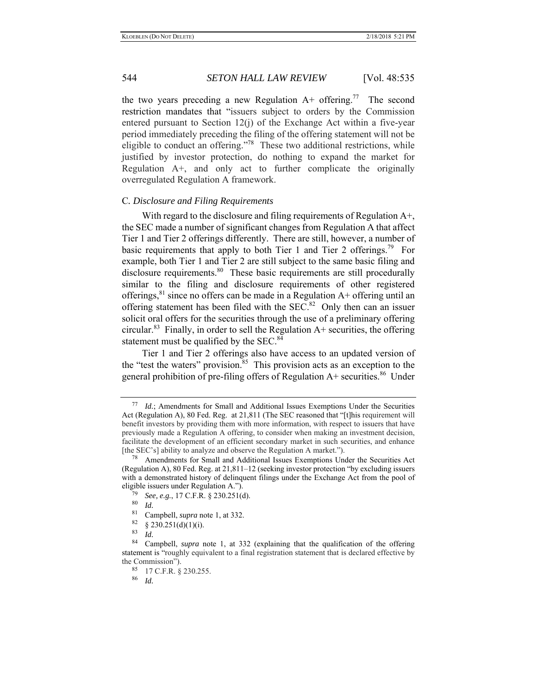the two years preceding a new Regulation  $A^+$  offering.<sup>77</sup> The second restriction mandates that "issuers subject to orders by the Commission entered pursuant to Section 12(j) of the Exchange Act within a five-year period immediately preceding the filing of the offering statement will not be eligible to conduct an offering."<sup>78</sup> These two additional restrictions, while justified by investor protection, do nothing to expand the market for Regulation A+, and only act to further complicate the originally overregulated Regulation A framework.

### C*. Disclosure and Filing Requirements*

With regard to the disclosure and filing requirements of Regulation A+, the SEC made a number of significant changes from Regulation A that affect Tier 1 and Tier 2 offerings differently. There are still, however, a number of basic requirements that apply to both Tier 1 and Tier 2 offerings.<sup>79</sup> For example, both Tier 1 and Tier 2 are still subject to the same basic filing and disclosure requirements.<sup>80</sup> These basic requirements are still procedurally similar to the filing and disclosure requirements of other registered offerings,  $81$  since no offers can be made in a Regulation A+ offering until an offering statement has been filed with the  $SEC.<sup>82</sup>$  Only then can an issuer solicit oral offers for the securities through the use of a preliminary offering circular.<sup>83</sup> Finally, in order to sell the Regulation  $A<sup>+</sup>$  securities, the offering statement must be qualified by the SEC.<sup>84</sup>

Tier 1 and Tier 2 offerings also have access to an updated version of the "test the waters" provision. $85$  This provision acts as an exception to the general prohibition of pre-filing offers of Regulation  $A+$  securities.<sup>86</sup> Under

- $\frac{82}{83}$  § 230.251(d)(1)(i).
- $\frac{83}{84}$  *Id.*

86 *Id.*

<sup>77</sup> *Id.*; Amendments for Small and Additional Issues Exemptions Under the Securities Act (Regulation A), 80 Fed. Reg. at 21,811 (The SEC reasoned that "[t]his requirement will benefit investors by providing them with more information, with respect to issuers that have previously made a Regulation A offering, to consider when making an investment decision, facilitate the development of an efficient secondary market in such securities, and enhance [the SEC's] ability to analyze and observe the Regulation A market.").

Amendments for Small and Additional Issues Exemptions Under the Securities Act (Regulation A), 80 Fed. Reg. at 21,811–12 (seeking investor protection "by excluding issuers with a demonstrated history of delinquent filings under the Exchange Act from the pool of eligible issuers under Regulation A.").

<sup>79</sup> *See, e.g.*, 17 C.F.R. § 230.251(d).

 $\frac{80}{81}$  *Id.* 

Campbell, *supra* note 1, at 332.

Campbell, *supra* note 1, at 332 (explaining that the qualification of the offering statement is "roughly equivalent to a final registration statement that is declared effective by the Commission").<br> $^{85}$  17 C E P s

 $^{85}$  17 C.F.R. § 230.255.<br> $^{86}$  *Id*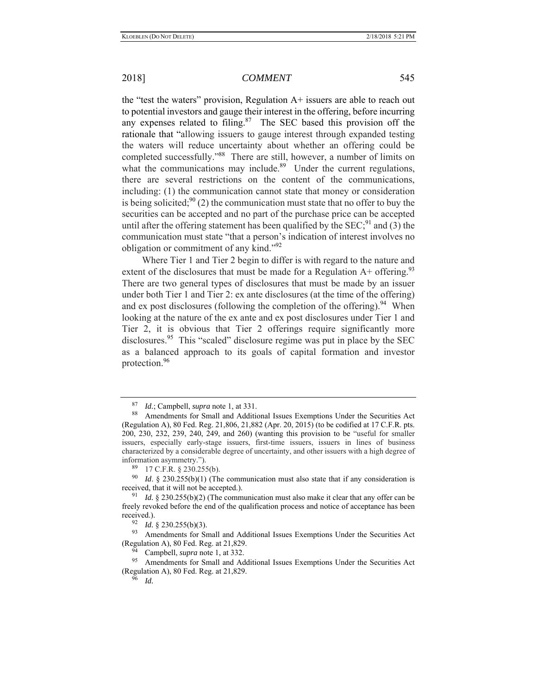the "test the waters" provision, Regulation A+ issuers are able to reach out to potential investors and gauge their interest in the offering, before incurring any expenses related to filing. $87$  The SEC based this provision off the rationale that "allowing issuers to gauge interest through expanded testing the waters will reduce uncertainty about whether an offering could be completed successfully."88 There are still, however, a number of limits on what the communications may include. $89$  Under the current regulations, there are several restrictions on the content of the communications, including: (1) the communication cannot state that money or consideration is being solicited;  $90(2)$  the communication must state that no offer to buy the securities can be accepted and no part of the purchase price can be accepted until after the offering statement has been qualified by the  $SEC;^{91}$  and (3) the communication must state "that a person's indication of interest involves no obligation or commitment of any kind."<sup>92</sup>

Where Tier 1 and Tier 2 begin to differ is with regard to the nature and extent of the disclosures that must be made for a Regulation  $A^+$  offering.<sup>93</sup> There are two general types of disclosures that must be made by an issuer under both Tier 1 and Tier 2: ex ante disclosures (at the time of the offering) and ex post disclosures (following the completion of the offering).<sup>94</sup> When looking at the nature of the ex ante and ex post disclosures under Tier 1 and Tier 2, it is obvious that Tier 2 offerings require significantly more disclosures.<sup>95</sup> This "scaled" disclosure regime was put in place by the SEC as a balanced approach to its goals of capital formation and investor protection.96

 $\frac{92}{93}$  *Id.* § 230.255(b)(3).<br>
Amendments for Sn

Amendments for Small and Additional Issues Exemptions Under the Securities Act (Regulation A), 80 Fed. Reg. at 21,829.

Campbell, *supra* note 1, at 332.

Amendments for Small and Additional Issues Exemptions Under the Securities Act (Regulation A), 80 Fed. Reg. at 21,829.

96 *Id.*

<sup>87</sup> *Id.*; Campbell, *supra* note 1, at 331.

Amendments for Small and Additional Issues Exemptions Under the Securities Act (Regulation A), 80 Fed. Reg. 21,806, 21,882 (Apr. 20, 2015) (to be codified at 17 C.F.R. pts. 200, 230, 232, 239, 240, 249, and 260) (wanting this provision to be "useful for smaller issuers, especially early-stage issuers, first-time issuers, issuers in lines of business characterized by a considerable degree of uncertainty, and other issuers with a high degree of information asymmetry.").

 $^{89}$  17 C.F.R. § 230.255(b).<br> $^{90}$  L4 § 230.255(b)(1) (Tb)

*Id.* § 230.255(b)(1) (The communication must also state that if any consideration is received, that it will not be accepted.).

<sup>91</sup> *Id.* § 230.255(b)(2) (The communication must also make it clear that any offer can be freely revoked before the end of the qualification process and notice of acceptance has been received.).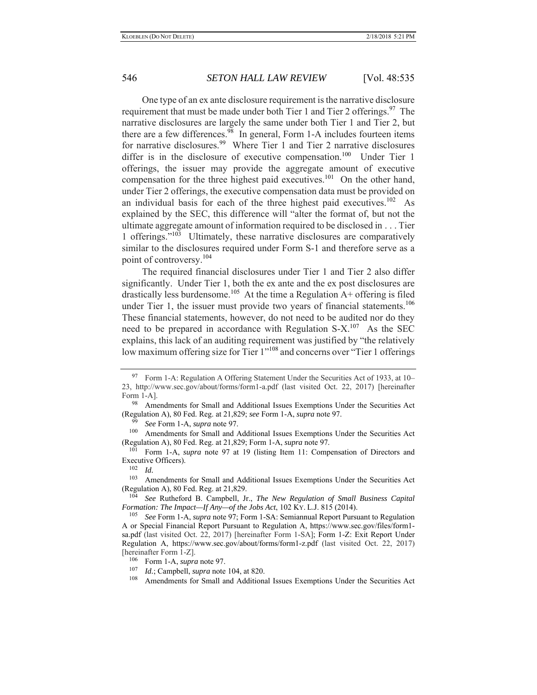One type of an ex ante disclosure requirement is the narrative disclosure requirement that must be made under both Tier 1 and Tier 2 offerings.<sup>97</sup> The narrative disclosures are largely the same under both Tier 1 and Tier 2, but there are a few differences. $98$  In general, Form 1-A includes fourteen items for narrative disclosures.<sup>99</sup> Where Tier 1 and Tier 2 narrative disclosures differ is in the disclosure of executive compensation.<sup>100</sup> Under Tier 1 offerings, the issuer may provide the aggregate amount of executive compensation for the three highest paid executives.<sup>101</sup> On the other hand, under Tier 2 offerings, the executive compensation data must be provided on an individual basis for each of the three highest paid executives.<sup>102</sup> As explained by the SEC, this difference will "alter the format of, but not the ultimate aggregate amount of information required to be disclosed in . . . Tier 1 offerings."103 Ultimately, these narrative disclosures are comparatively similar to the disclosures required under Form S-1 and therefore serve as a point of controversy.104

The required financial disclosures under Tier 1 and Tier 2 also differ significantly. Under Tier 1, both the ex ante and the ex post disclosures are drastically less burdensome.<sup>105</sup> At the time a Regulation A+ offering is filed under Tier 1, the issuer must provide two years of financial statements.<sup>106</sup> These financial statements, however, do not need to be audited nor do they need to be prepared in accordance with Regulation  $S-X$ <sup>107</sup> As the SEC explains, this lack of an auditing requirement was justified by "the relatively low maximum offering size for Tier 1"<sup>108</sup> and concerns over "Tier 1 offerings"

<sup>97</sup> Form 1-A: Regulation A Offering Statement Under the Securities Act of 1933, at 10– 23, http://www.sec.gov/about/forms/form1-a.pdf (last visited Oct. 22, 2017) [hereinafter Form 1-A].

Amendments for Small and Additional Issues Exemptions Under the Securities Act (Regulation A), 80 Fed. Reg. at 21,829; *see* Form 1-A, *supra* note 97.

<sup>&</sup>lt;sup>99</sup> *See* Form 1-A, *supra* note 97.<br><sup>100</sup> Amendments for Small and A

Amendments for Small and Additional Issues Exemptions Under the Securities Act (Regulation A), 80 Fed. Reg. at 21,829; Form 1-A, *supra* note 97.

<sup>101</sup> Form 1-A, *supra* note 97 at 19 (listing Item 11: Compensation of Directors and Executive Officers).<br> $\frac{102}{1}$ 

<sup>102</sup> *Id.*

<sup>&</sup>lt;sup>103</sup> Amendments for Small and Additional Issues Exemptions Under the Securities Act (Regulation A), 80 Fed. Reg. at 21,829.

<sup>104</sup> *See* Rutheford B. Campbell, Jr., *The New Regulation of Small Business Capital Formation: The Impact—If Any—of the Jobs Act*, 102 KY. L.J. 815 (2014).

<sup>105</sup> *See* Form 1-A, *supra* note 97; Form 1-SA: Semiannual Report Pursuant to Regulation A or Special Financial Report Pursuant to Regulation A, https://www.sec.gov/files/form1 sa.pdf (last visited Oct. 22, 2017) [hereinafter Form 1-SA]; Form 1-Z: Exit Report Under Regulation A, https://www.sec.gov/about/forms/form1-z.pdf (last visited Oct. 22, 2017) [hereinafter Form 1-Z].

 $^{106}$  Form 1-A, *supra* note 97.

<sup>107</sup> *Id.*; Campbell, *supra* note 104, at 820.

Amendments for Small and Additional Issues Exemptions Under the Securities Act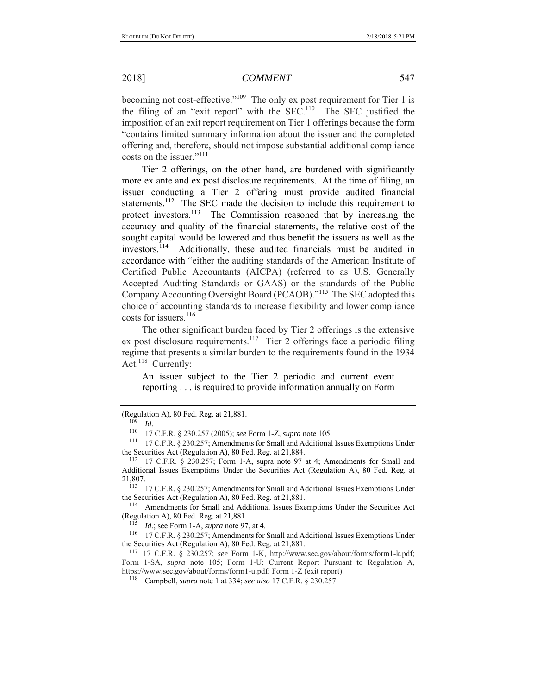becoming not cost-effective."<sup>109</sup> The only ex post requirement for Tier 1 is the filing of an "exit report" with the  $SEC.110$  The SEC justified the imposition of an exit report requirement on Tier 1 offerings because the form "contains limited summary information about the issuer and the completed offering and, therefore, should not impose substantial additional compliance costs on the issuer."<sup>111</sup>

Tier 2 offerings, on the other hand, are burdened with significantly more ex ante and ex post disclosure requirements. At the time of filing, an issuer conducting a Tier 2 offering must provide audited financial statements.<sup>112</sup> The SEC made the decision to include this requirement to protect investors.<sup>113</sup> The Commission reasoned that by increasing the accuracy and quality of the financial statements, the relative cost of the sought capital would be lowered and thus benefit the issuers as well as the investors.114 Additionally, these audited financials must be audited in accordance with "either the auditing standards of the American Institute of Certified Public Accountants (AICPA) (referred to as U.S. Generally Accepted Auditing Standards or GAAS) or the standards of the Public Company Accounting Oversight Board (PCAOB)."115 The SEC adopted this choice of accounting standards to increase flexibility and lower compliance costs for issuers.<sup>116</sup>

The other significant burden faced by Tier 2 offerings is the extensive ex post disclosure requirements.<sup>117</sup> Tier 2 offerings face a periodic filing regime that presents a similar burden to the requirements found in the 1934 Act.<sup>118</sup> Currently:

An issuer subject to the Tier 2 periodic and current event reporting . . . is required to provide information annually on Form

115 *Id.*; see Form 1-A, *supra* note 97, at 4.

<sup>(</sup>Regulation A), 80 Fed. Reg. at 21,881.

 $\frac{109}{110}$  *Id.* 

<sup>&</sup>lt;sup>110</sup> 17 C.F.R. § 230.257 (2005); *see* Form 1-Z, *supra* note 105.<br><sup>111</sup> 17 C.F.R. § 230.257; Amendments for Small and Additional Issues Exemptions Under the Securities Act (Regulation A), 80 Fed. Reg. at 21,884.<br><sup>112</sup> 17 C.F.R. § 230.257; Form 1-A, supra note 97 at 4; Amendments for Small and

Additional Issues Exemptions Under the Securities Act (Regulation A), 80 Fed. Reg. at  $21,807.$ 

<sup>113 17</sup> C.F.R. § 230.257; Amendments for Small and Additional Issues Exemptions Under the Securities Act (Regulation A), 80 Fed. Reg. at 21,881.<br><sup>114</sup> Amendments for Small and Additional Issues Exemptions Under the Securities Act

<sup>(</sup>Regulation A), 80 Fed. Reg. at 21,881

<sup>116 17</sup> C.F.R. § 230.257; Amendments for Small and Additional Issues Exemptions Under the Securities Act (Regulation A), 80 Fed. Reg. at 21,881.

<sup>117 17</sup> C.F.R. § 230.257; *see* Form 1-K, http://www.sec.gov/about/forms/form1-k.pdf; Form 1-SA, *supra* note 105; Form 1-U: Current Report Pursuant to Regulation A, https://www.sec.gov/about/forms/form1-u.pdf; Form 1-Z (exit report).

<sup>118</sup> Campbell, *supra* note 1 at 334; *see also* 17 C.F.R. § 230.257.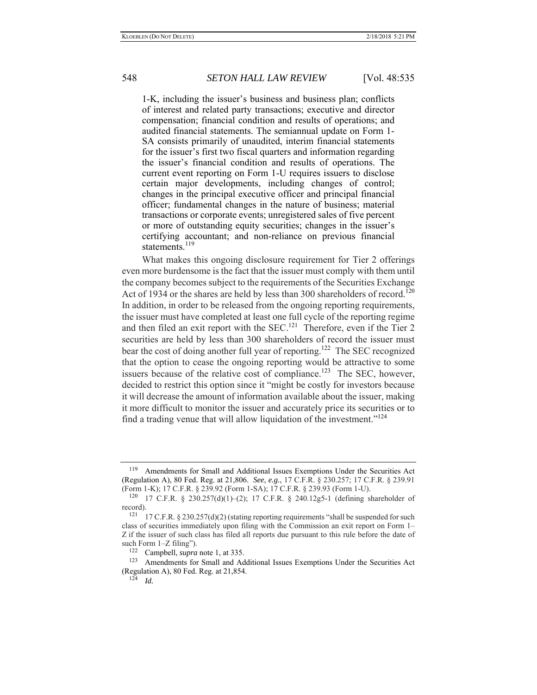1-K, including the issuer's business and business plan; conflicts of interest and related party transactions; executive and director compensation; financial condition and results of operations; and audited financial statements. The semiannual update on Form 1- SA consists primarily of unaudited, interim financial statements for the issuer's first two fiscal quarters and information regarding the issuer's financial condition and results of operations. The current event reporting on Form 1-U requires issuers to disclose certain major developments, including changes of control; changes in the principal executive officer and principal financial officer; fundamental changes in the nature of business; material transactions or corporate events; unregistered sales of five percent or more of outstanding equity securities; changes in the issuer's certifying accountant; and non-reliance on previous financial statements.<sup>119</sup>

What makes this ongoing disclosure requirement for Tier 2 offerings even more burdensome is the fact that the issuer must comply with them until the company becomes subject to the requirements of the Securities Exchange Act of 1934 or the shares are held by less than 300 shareholders of record.<sup>120</sup> In addition, in order to be released from the ongoing reporting requirements, the issuer must have completed at least one full cycle of the reporting regime and then filed an exit report with the  $SEC.121$  Therefore, even if the Tier 2 securities are held by less than 300 shareholders of record the issuer must bear the cost of doing another full year of reporting.<sup>122</sup> The SEC recognized that the option to cease the ongoing reporting would be attractive to some issuers because of the relative cost of compliance.<sup>123</sup> The SEC, however, decided to restrict this option since it "might be costly for investors because it will decrease the amount of information available about the issuer, making it more difficult to monitor the issuer and accurately price its securities or to find a trading venue that will allow liquidation of the investment."<sup>124</sup>

<sup>&</sup>lt;sup>119</sup> Amendments for Small and Additional Issues Exemptions Under the Securities Act (Regulation A), 80 Fed. Reg. at 21,806. *See*, *e.g.*, 17 C.F.R. § 230.257; 17 C.F.R. § 239.91 (Form 1-K); 17 C.F.R. § 239.92 (Form 1-SA); 17 C.F.R. § 239.93 (Form 1-U).

<sup>120 17</sup> C.F.R. § 230.257(d)(1)–(2); 17 C.F.R. § 240.12g5-1 (defining shareholder of  $record$ ).<br> $121$ 

<sup>17</sup> C.F.R.  $\S 230.257(d)(2)$  (stating reporting requirements "shall be suspended for such class of securities immediately upon filing with the Commission an exit report on Form 1– Z if the issuer of such class has filed all reports due pursuant to this rule before the date of such Form 1–Z filing").

<sup>&</sup>lt;sup>122</sup> Campbell, *supra* note 1, at 335.<br><sup>123</sup> Amendments for Small and Ad

Amendments for Small and Additional Issues Exemptions Under the Securities Act (Regulation A), 80 Fed. Reg. at 21,854. 124 *Id.*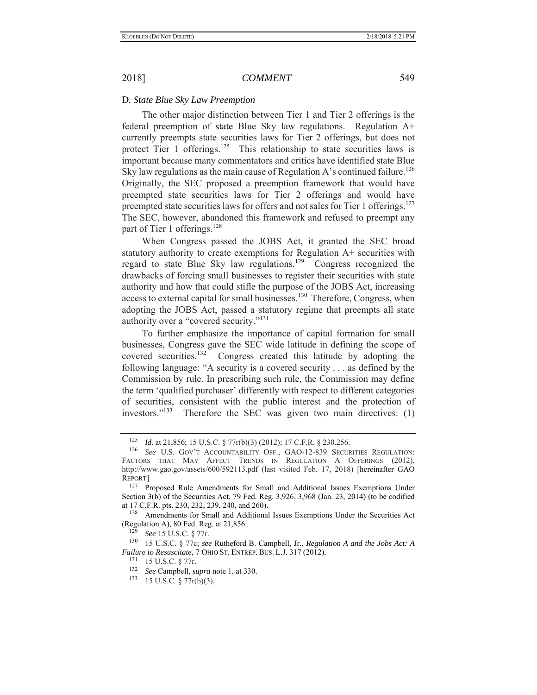## D*. State Blue Sky Law Preemption*

The other major distinction between Tier 1 and Tier 2 offerings is the federal preemption of state Blue Sky law regulations. Regulation A+ currently preempts state securities laws for Tier 2 offerings, but does not protect Tier 1 offerings.<sup>125</sup> This relationship to state securities laws is important because many commentators and critics have identified state Blue Sky law regulations as the main cause of Regulation A's continued failure.<sup>126</sup> Originally, the SEC proposed a preemption framework that would have preempted state securities laws for Tier 2 offerings and would have preempted state securities laws for offers and not sales for Tier 1 offerings.<sup>127</sup> The SEC, however, abandoned this framework and refused to preempt any part of Tier 1 offerings.<sup>128</sup>

When Congress passed the JOBS Act, it granted the SEC broad statutory authority to create exemptions for Regulation A+ securities with regard to state Blue Sky law regulations.<sup>129</sup> Congress recognized the drawbacks of forcing small businesses to register their securities with state authority and how that could stifle the purpose of the JOBS Act, increasing access to external capital for small businesses.<sup>130</sup> Therefore, Congress, when adopting the JOBS Act, passed a statutory regime that preempts all state authority over a "covered security."<sup>131</sup>

To further emphasize the importance of capital formation for small businesses, Congress gave the SEC wide latitude in defining the scope of covered securities.132 Congress created this latitude by adopting the following language: "A security is a covered security . . . as defined by the Commission by rule. In prescribing such rule, the Commission may define the term 'qualified purchaser' differently with respect to different categories of securities, consistent with the public interest and the protection of investors."133 Therefore the SEC was given two main directives: (1)

129 *See* 15 U.S.C. § 77r.

<sup>125</sup> *Id.* at 21,856; 15 U.S.C. § 77r(b)(3) (2012); 17 C.F.R. § 230.256.

<sup>126</sup> *See* U.S. GOV'T ACCOUNTABILITY OFF., GAO-12-839 SECURITIES REGULATION: FACTORS THAT MAY AFFECT TRENDS IN REGULATION A OFFERINGS (2012), http://www.gao.gov/assets/600/592113.pdf (last visited Feb. 17, 2018) [hereinafter GAO REPORT]

<sup>&</sup>lt;sup>127</sup> Proposed Rule Amendments for Small and Additional Issues Exemptions Under Section 3(b) of the Securities Act, 79 Fed. Reg. 3,926, 3,968 (Jan. 23, 2014) (to be codified at 17 C.F.R. pts. 230, 232, 239, 240, and 260).

<sup>&</sup>lt;sup>128</sup> Amendments for Small and Additional Issues Exemptions Under the Securities Act (Regulation A), 80 Fed. Reg. at 21,856.

<sup>130 15</sup> U.S.C. § 77c; *see* Rutheford B. Campbell, Jr., *Regulation A and the Jobs Act: A Failure to Resuscitate*, 7 OHIO ST. ENTREP. BUS. L.J. 317 (2012).

<sup>131 15</sup> U.S.C. § 77r.

<sup>132</sup> *See* Campbell, *supra* note 1, at 330.

<sup>133 15</sup> U.S.C. § 77r(b)(3).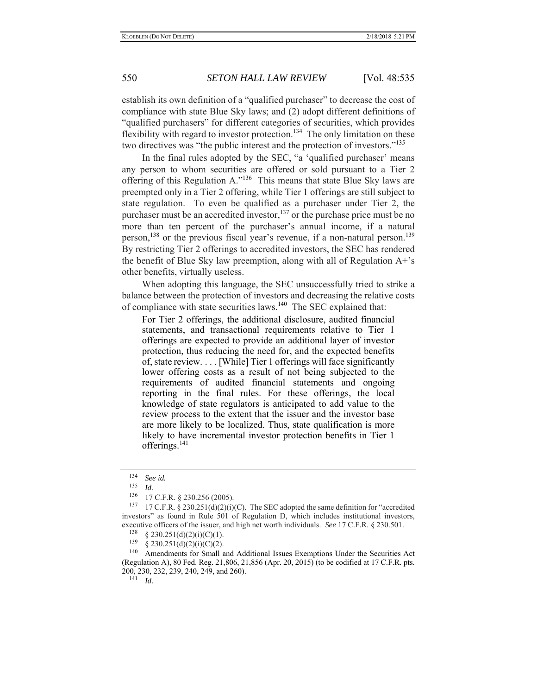establish its own definition of a "qualified purchaser" to decrease the cost of compliance with state Blue Sky laws; and (2) adopt different definitions of "qualified purchasers" for different categories of securities, which provides flexibility with regard to investor protection.<sup>134</sup> The only limitation on these two directives was "the public interest and the protection of investors."<sup>135</sup>

In the final rules adopted by the SEC, "a 'qualified purchaser' means any person to whom securities are offered or sold pursuant to a Tier 2 offering of this Regulation A."136 This means that state Blue Sky laws are preempted only in a Tier 2 offering, while Tier 1 offerings are still subject to state regulation. To even be qualified as a purchaser under Tier 2, the purchaser must be an accredited investor,  $137$  or the purchase price must be no more than ten percent of the purchaser's annual income, if a natural person,<sup>138</sup> or the previous fiscal year's revenue, if a non-natural person.<sup>139</sup> By restricting Tier 2 offerings to accredited investors, the SEC has rendered the benefit of Blue Sky law preemption, along with all of Regulation A+'s other benefits, virtually useless.

When adopting this language, the SEC unsuccessfully tried to strike a balance between the protection of investors and decreasing the relative costs of compliance with state securities laws.140 The SEC explained that:

For Tier 2 offerings, the additional disclosure, audited financial statements, and transactional requirements relative to Tier 1 offerings are expected to provide an additional layer of investor protection, thus reducing the need for, and the expected benefits of, state review. . . . [While] Tier 1 offerings will face significantly lower offering costs as a result of not being subjected to the requirements of audited financial statements and ongoing reporting in the final rules. For these offerings, the local knowledge of state regulators is anticipated to add value to the review process to the extent that the issuer and the investor base are more likely to be localized. Thus, state qualification is more likely to have incremental investor protection benefits in Tier 1 offerings.<sup>141</sup>

<sup>134</sup> *See id.*

 $\frac{135}{136}$  *Id.* 

<sup>&</sup>lt;sup>136</sup> 17 C.F.R. § 230.256 (2005).<br><sup>137</sup> 17 C.E.R. § 230.251(d)(2)(i)

<sup>17</sup> C.F.R. §  $230.251(d)(2)(i)(C)$ . The SEC adopted the same definition for "accredited investors" as found in Rule 501 of Regulation D, which includes institutional investors, executive officers of the issuer, and high net worth individuals. *See* 17 C.F.R. § 230.501.

 $^{138}$  § 230.251(d)(2)(i)(C)(1).<br>  $^{139}$  § 230.251(d)(2)(i)(C)(2)

 $§$  230.251(d)(2)(i)(C)(2).

<sup>&</sup>lt;sup>140</sup> Amendments for Small and Additional Issues Exemptions Under the Securities Act (Regulation A), 80 Fed. Reg. 21,806, 21,856 (Apr. 20, 2015) (to be codified at 17 C.F.R. pts. 200, 230, 232, 239, 240, 249, and 260). 141 *Id.*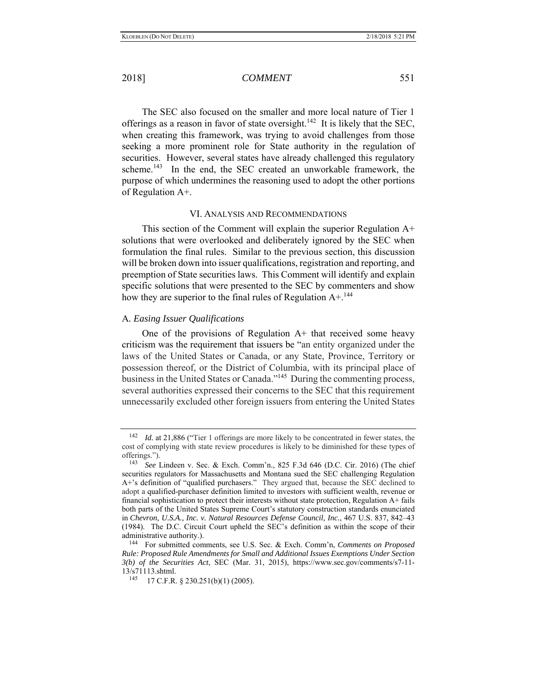The SEC also focused on the smaller and more local nature of Tier 1 offerings as a reason in favor of state oversight.<sup>142</sup> It is likely that the SEC, when creating this framework, was trying to avoid challenges from those seeking a more prominent role for State authority in the regulation of securities. However, several states have already challenged this regulatory scheme.<sup>143</sup> In the end, the SEC created an unworkable framework, the purpose of which undermines the reasoning used to adopt the other portions of Regulation A+.

## VI. ANALYSIS AND RECOMMENDATIONS

This section of the Comment will explain the superior Regulation A+ solutions that were overlooked and deliberately ignored by the SEC when formulation the final rules. Similar to the previous section, this discussion will be broken down into issuer qualifications, registration and reporting, and preemption of State securities laws. This Comment will identify and explain specific solutions that were presented to the SEC by commenters and show how they are superior to the final rules of Regulation  $A +$ <sup>144</sup>

### A*. Easing Issuer Qualifications*

One of the provisions of Regulation  $A<sup>+</sup>$  that received some heavy criticism was the requirement that issuers be "an entity organized under the laws of the United States or Canada, or any State, Province, Territory or possession thereof, or the District of Columbia, with its principal place of business in the United States or Canada."<sup>145</sup> During the commenting process, several authorities expressed their concerns to the SEC that this requirement unnecessarily excluded other foreign issuers from entering the United States

<sup>142</sup> *Id.* at 21,886 ("Tier 1 offerings are more likely to be concentrated in fewer states, the cost of complying with state review procedures is likely to be diminished for these types of offerings.").

<sup>143</sup> *See* Lindeen v. Sec. & Exch. Comm'n., 825 F.3d 646 (D.C. Cir. 2016) (The chief securities regulators for Massachusetts and Montana sued the SEC challenging Regulation A+'s definition of "qualified purchasers." They argued that, because the SEC declined to adopt a qualified-purchaser definition limited to investors with sufficient wealth, revenue or financial sophistication to protect their interests without state protection, Regulation A+ fails both parts of the United States Supreme Court's statutory construction standards enunciated in *Chevron, U.S.A., Inc. v. Natural Resources Defense Council, Inc.*, 467 U.S. 837, 842–43 (1984). The D.C. Circuit Court upheld the SEC's definition as within the scope of their administrative authority.). 144 For submitted comments, see U.S. Sec. & Exch. Comm'n, *Comments on Proposed* 

*Rule: Proposed Rule Amendments for Small and Additional Issues Exemptions Under Section 3(b) of the Securities Act*, SEC (Mar. 31, 2015), https://www.sec.gov/comments/s7-11- 13/s71113.shtml.

<sup>145 17</sup> C.F.R. § 230.251(b)(1) (2005).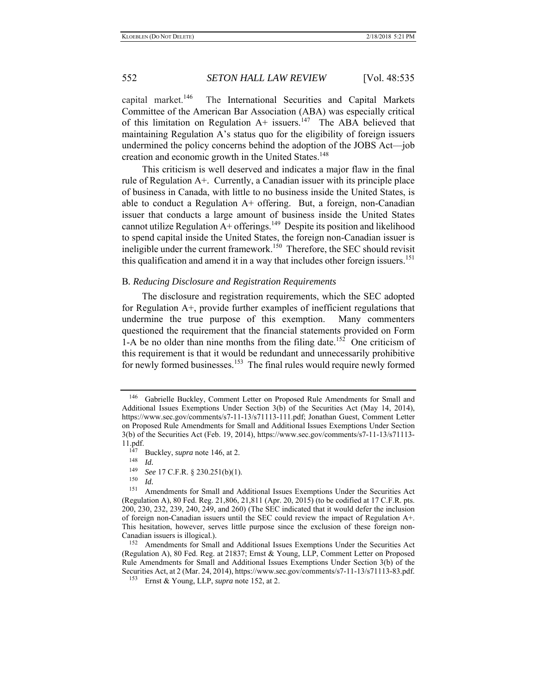capital market.<sup>146</sup> The International Securities and Capital Markets Committee of the American Bar Association (ABA) was especially critical of this limitation on Regulation  $A^+$  issuers.<sup>147</sup> The ABA believed that maintaining Regulation A's status quo for the eligibility of foreign issuers undermined the policy concerns behind the adoption of the JOBS Act—job creation and economic growth in the United States.<sup>148</sup>

This criticism is well deserved and indicates a major flaw in the final rule of Regulation A+. Currently, a Canadian issuer with its principle place of business in Canada, with little to no business inside the United States, is able to conduct a Regulation  $A+$  offering. But, a foreign, non-Canadian issuer that conducts a large amount of business inside the United States cannot utilize Regulation  $A+$  offerings.<sup>149</sup> Despite its position and likelihood to spend capital inside the United States, the foreign non-Canadian issuer is ineligible under the current framework.<sup>150</sup> Therefore, the SEC should revisit this qualification and amend it in a way that includes other foreign issuers.<sup>151</sup>

### B*. Reducing Disclosure and Registration Requirements*

The disclosure and registration requirements, which the SEC adopted for Regulation A+, provide further examples of inefficient regulations that undermine the true purpose of this exemption. Many commenters questioned the requirement that the financial statements provided on Form 1-A be no older than nine months from the filing date.<sup>152</sup> One criticism of this requirement is that it would be redundant and unnecessarily prohibitive for newly formed businesses.<sup>153</sup> The final rules would require newly formed

148 *Id.*

 $\frac{150}{151}$  *Id.* 

<sup>146</sup> Gabrielle Buckley, Comment Letter on Proposed Rule Amendments for Small and Additional Issues Exemptions Under Section 3(b) of the Securities Act (May 14, 2014), https://www.sec.gov/comments/s7-11-13/s71113-111.pdf; Jonathan Guest, Comment Letter on Proposed Rule Amendments for Small and Additional Issues Exemptions Under Section 3(b) of the Securities Act (Feb. 19, 2014), https://www.sec.gov/comments/s7-11-13/s71113- 11.pdf.

 $\frac{147}{148}$  Buckley, *supra* note 146, at 2.

<sup>149</sup> *See* 17 C.F.R. § 230.251(b)(1).

Amendments for Small and Additional Issues Exemptions Under the Securities Act (Regulation A), 80 Fed. Reg. 21,806, 21,811 (Apr. 20, 2015) (to be codified at 17 C.F.R. pts. 200, 230, 232, 239, 240, 249, and 260) (The SEC indicated that it would defer the inclusion of foreign non-Canadian issuers until the SEC could review the impact of Regulation A+. This hesitation, however, serves little purpose since the exclusion of these foreign non-Canadian issuers is illogical.).

<sup>152</sup> Amendments for Small and Additional Issues Exemptions Under the Securities Act (Regulation A), 80 Fed. Reg. at 21837; Ernst & Young, LLP, Comment Letter on Proposed Rule Amendments for Small and Additional Issues Exemptions Under Section 3(b) of the Securities Act, at 2 (Mar. 24, 2014), https://www.sec.gov/comments/s7-11-13/s71113-83.pdf.

<sup>153</sup> Ernst & Young, LLP, *supra* note 152, at 2.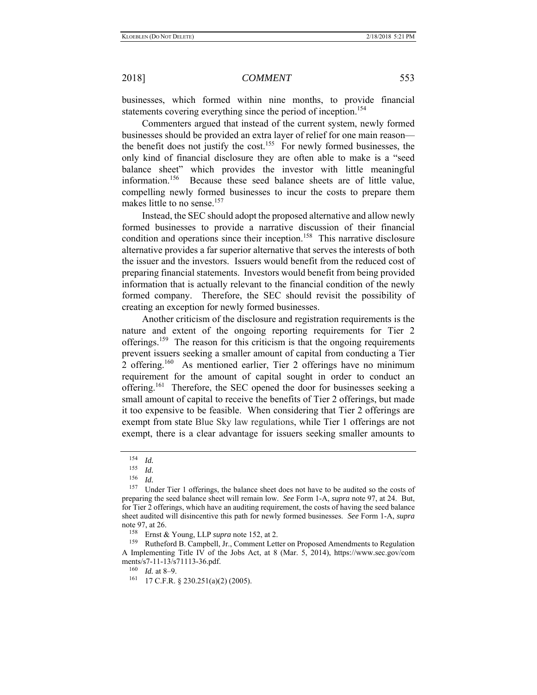businesses, which formed within nine months, to provide financial statements covering everything since the period of inception.<sup>154</sup>

Commenters argued that instead of the current system, newly formed businesses should be provided an extra layer of relief for one main reason the benefit does not justify the cost.<sup>155</sup> For newly formed businesses, the only kind of financial disclosure they are often able to make is a "seed balance sheet" which provides the investor with little meaningful information.156 Because these seed balance sheets are of little value, compelling newly formed businesses to incur the costs to prepare them makes little to no sense.<sup>157</sup>

Instead, the SEC should adopt the proposed alternative and allow newly formed businesses to provide a narrative discussion of their financial condition and operations since their inception.<sup>158</sup> This narrative disclosure alternative provides a far superior alternative that serves the interests of both the issuer and the investors. Issuers would benefit from the reduced cost of preparing financial statements. Investors would benefit from being provided information that is actually relevant to the financial condition of the newly formed company. Therefore, the SEC should revisit the possibility of creating an exception for newly formed businesses.

Another criticism of the disclosure and registration requirements is the nature and extent of the ongoing reporting requirements for Tier 2 offerings.<sup>159</sup> The reason for this criticism is that the ongoing requirements prevent issuers seeking a smaller amount of capital from conducting a Tier 2 offering.<sup>160</sup> As mentioned earlier, Tier 2 offerings have no minimum requirement for the amount of capital sought in order to conduct an offering.<sup>161</sup> Therefore, the SEC opened the door for businesses seeking a small amount of capital to receive the benefits of Tier 2 offerings, but made it too expensive to be feasible. When considering that Tier 2 offerings are exempt from state Blue Sky law regulations, while Tier 1 offerings are not exempt, there is a clear advantage for issuers seeking smaller amounts to

<sup>154</sup> *Id.* 155 *Id.*

 $\frac{156}{157}$  *Id.* 

Under Tier 1 offerings, the balance sheet does not have to be audited so the costs of preparing the seed balance sheet will remain low. *See* Form 1-A, *supra* note 97, at 24. But, for Tier 2 offerings, which have an auditing requirement, the costs of having the seed balance sheet audited will disincentive this path for newly formed businesses. *See* Form 1-A, *supra* note 97, at 26.<br> $\frac{158}{25}$  Ernot 8

<sup>&</sup>lt;sup>158</sup> Ernst & Young, LLP *supra* note 152, at 2.<br><sup>159</sup> Putheford B. Compbell, Jr. Comment Lett.

Rutheford B. Campbell, Jr., Comment Letter on Proposed Amendments to Regulation A Implementing Title IV of the Jobs Act, at 8 (Mar. 5, 2014), https://www.sec.gov/com ments/s7-11-13/s71113-36.pdf.

<sup>160</sup> *Id.* at 8–9.

<sup>161 17</sup> C.F.R. § 230.251(a)(2) (2005).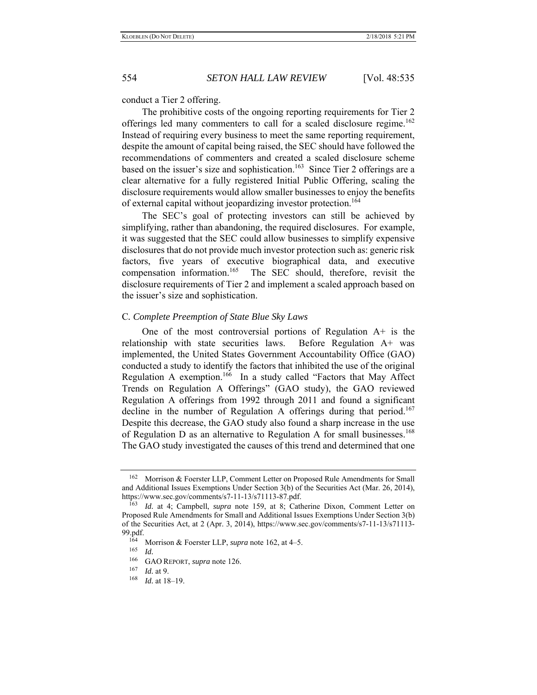conduct a Tier 2 offering.

The prohibitive costs of the ongoing reporting requirements for Tier 2 offerings led many commenters to call for a scaled disclosure regime.<sup>162</sup> Instead of requiring every business to meet the same reporting requirement, despite the amount of capital being raised, the SEC should have followed the recommendations of commenters and created a scaled disclosure scheme based on the issuer's size and sophistication.<sup>163</sup> Since Tier 2 offerings are a clear alternative for a fully registered Initial Public Offering, scaling the disclosure requirements would allow smaller businesses to enjoy the benefits of external capital without jeopardizing investor protection.<sup>164</sup>

The SEC's goal of protecting investors can still be achieved by simplifying, rather than abandoning, the required disclosures. For example, it was suggested that the SEC could allow businesses to simplify expensive disclosures that do not provide much investor protection such as: generic risk factors, five years of executive biographical data, and executive compensation information.<sup>165</sup> The SEC should, therefore, revisit the disclosure requirements of Tier 2 and implement a scaled approach based on the issuer's size and sophistication.

### C*. Complete Preemption of State Blue Sky Laws*

One of the most controversial portions of Regulation A+ is the relationship with state securities laws. Before Regulation A+ was implemented, the United States Government Accountability Office (GAO) conducted a study to identify the factors that inhibited the use of the original Regulation A exemption.<sup>166</sup> In a study called "Factors that May Affect Trends on Regulation A Offerings" (GAO study), the GAO reviewed Regulation A offerings from 1992 through 2011 and found a significant decline in the number of Regulation A offerings during that period.<sup>167</sup> Despite this decrease, the GAO study also found a sharp increase in the use of Regulation D as an alternative to Regulation A for small businesses.<sup>168</sup> The GAO study investigated the causes of this trend and determined that one

Morrison & Foerster LLP, Comment Letter on Proposed Rule Amendments for Small and Additional Issues Exemptions Under Section 3(b) of the Securities Act (Mar. 26, 2014), https://www.sec.gov/comments/s7-11-13/s71113-87.pdf.

<sup>163</sup> *Id.* at 4; Campbell, *supra* note 159, at 8; Catherine Dixon, Comment Letter on Proposed Rule Amendments for Small and Additional Issues Exemptions Under Section 3(b) of the Securities Act, at 2 (Apr. 3, 2014), https://www.sec.gov/comments/s7-11-13/s71113- 99.pdf.

<sup>&</sup>lt;sup>164</sup> Morrison & Foerster LLP, *supra* note 162, at 4–5.

<sup>165</sup> *Id.*

<sup>&</sup>lt;sup>166</sup> GAO REPORT, *supra* note 126.

 $\frac{167}{168}$  *Id.* at 9.

*Id.* at 18–19.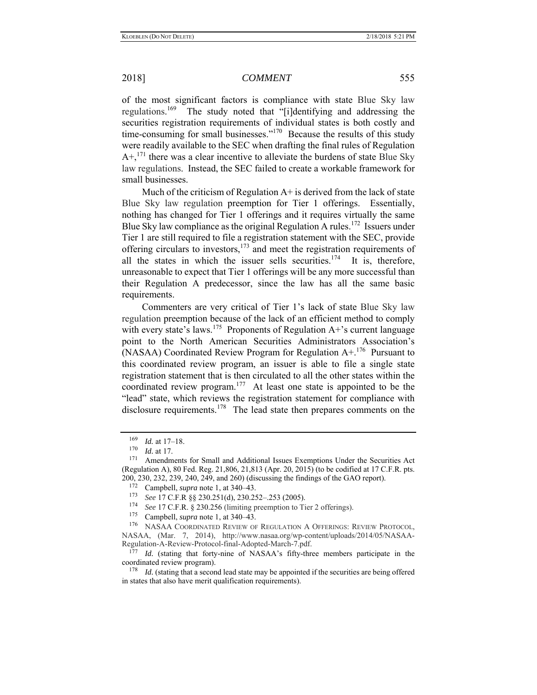of the most significant factors is compliance with state Blue Sky law regulations.<sup>169</sup> The study noted that "[i]dentifying and addressing the securities registration requirements of individual states is both costly and time-consuming for small businesses."<sup>170</sup> Because the results of this study were readily available to the SEC when drafting the final rules of Regulation  $A^{+}$ ,<sup>171</sup> there was a clear incentive to alleviate the burdens of state Blue Sky law regulations. Instead, the SEC failed to create a workable framework for small businesses.

Much of the criticism of Regulation  $A<sup>+</sup>$  is derived from the lack of state Blue Sky law regulation preemption for Tier 1 offerings. Essentially, nothing has changed for Tier 1 offerings and it requires virtually the same Blue Sky law compliance as the original Regulation A rules.<sup>172</sup> Issuers under Tier 1 are still required to file a registration statement with the SEC, provide offering circulars to investors,<sup>173</sup> and meet the registration requirements of all the states in which the issuer sells securities.<sup>174</sup> It is, therefore, unreasonable to expect that Tier 1 offerings will be any more successful than their Regulation A predecessor, since the law has all the same basic requirements.

Commenters are very critical of Tier 1's lack of state Blue Sky law regulation preemption because of the lack of an efficient method to comply with every state's laws.<sup>175</sup> Proponents of Regulation  $A<sup>+</sup>$ 's current language point to the North American Securities Administrators Association's (NASAA) Coordinated Review Program for Regulation  $A^{+176}$  Pursuant to this coordinated review program, an issuer is able to file a single state registration statement that is then circulated to all the other states within the coordinated review program.<sup>177</sup> At least one state is appointed to be the "lead" state, which reviews the registration statement for compliance with disclosure requirements.<sup>178</sup> The lead state then prepares comments on the

 $\frac{169}{170}$  *Id.* at 17–18.

 $\frac{170}{171}$  *Id.* at 17.

Amendments for Small and Additional Issues Exemptions Under the Securities Act (Regulation A), 80 Fed. Reg. 21,806, 21,813 (Apr. 20, 2015) (to be codified at 17 C.F.R. pts. 200, 230, 232, 239, 240, 249, and 260) (discussing the findings of the GAO report).

<sup>&</sup>lt;sup>172</sup> Campbell, *supra* note 1, at 340–43.<br><sup>173</sup> See 17 C E P 88 230 251(d) 230.25

<sup>173</sup> *See* 17 C.F.R §§ 230.251(d), 230.252–.253 (2005).

See 17 C.F.R. § 230.256 (limiting preemption to Tier 2 offerings).

<sup>&</sup>lt;sup>175</sup> Campbell, *supra* note 1, at  $340-43$ .

NASAA COORDINATED REVIEW OF REGULATION A OFFERINGS: REVIEW PROTOCOL, NASAA, (Mar. 7, 2014), http://www.nasaa.org/wp-content/uploads/2014/05/NASAA-Regulation-A-Review-Protocol-final-Adopted-March-7.pdf.

<sup>177</sup> *Id.* (stating that forty-nine of NASAA's fifty-three members participate in the coordinated review program).

<sup>&</sup>lt;sup>178</sup> *Id.* (stating that a second lead state may be appointed if the securities are being offered in states that also have merit qualification requirements).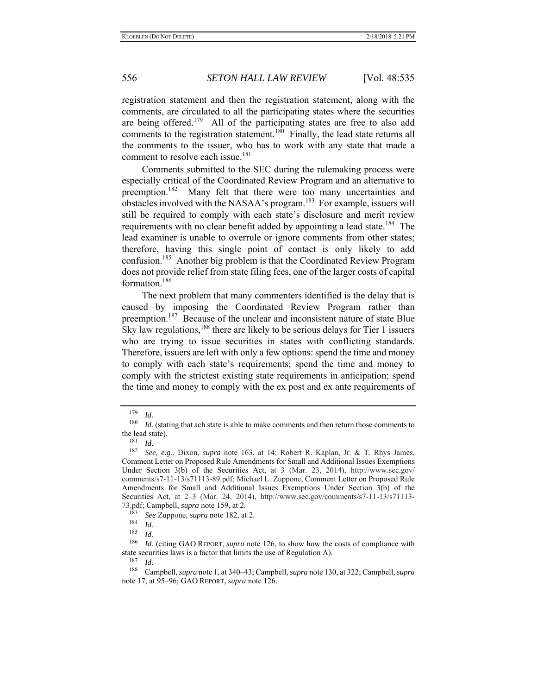registration statement and then the registration statement, along with the comments, are circulated to all the participating states where the securities are being offered.<sup>179</sup> All of the participating states are free to also add comments to the registration statement.<sup>180</sup> Finally, the lead state returns all the comments to the issuer, who has to work with any state that made a comment to resolve each issue.<sup>181</sup>

Comments submitted to the SEC during the rulemaking process were especially critical of the Coordinated Review Program and an alternative to preemption.<sup>182</sup> Many felt that there were too many uncertainties and obstacles involved with the NASAA's program.<sup>183</sup> For example, issuers will still be required to comply with each state's disclosure and merit review requirements with no clear benefit added by appointing a lead state.<sup>184</sup> The lead examiner is unable to overrule or ignore comments from other states; therefore, having this single point of contact is only likely to add confusion.185 Another big problem is that the Coordinated Review Program does not provide relief from state filing fees, one of the larger costs of capital formation.<sup>186</sup>

The next problem that many commenters identified is the delay that is caused by imposing the Coordinated Review Program rather than preemption.<sup>187</sup> Because of the unclear and inconsistent nature of state Blue Sky law regulations,<sup>188</sup> there are likely to be serious delays for Tier 1 issuers who are trying to issue securities in states with conflicting standards. Therefore, issuers are left with only a few options: spend the time and money to comply with each state's requirements; spend the time and money to comply with the strictest existing state requirements in anticipation; spend the time and money to comply with the ex post and ex ante requirements of

<sup>179</sup> *Id.*

<sup>&</sup>lt;sup>180</sup> *Id.* (stating that ach state is able to make comments and then return those comments to the lead state).

 $\frac{181}{182}$  *Id.* 

<sup>182</sup> *See, e.g.*, Dixon, *supra* note 163, at 14; Robert R. Kaplan, Jr. & T. Rhys James, Comment Letter on Proposed Rule Amendments for Small and Additional Issues Exemptions Under Section 3(b) of the Securities Act, at 3 (Mar. 23, 2014), http://www.sec.gov/ comments/s7-11-13/s71113-89.pdf; Michael L. Zuppone, Comment Letter on Proposed Rule Amendments for Small and Additional Issues Exemptions Under Section 3(b) of the Securities Act, at 2–3 (Mar. 24, 2014), http://www.sec.gov/comments/s7-11-13/s71113- 73.pdf; Campbell, *supra* note 159, at 2.

<sup>183</sup> *See* Zuppone, *supra* note 182, at 2.

 $\frac{184}{185}$  *Id.* 

 $\frac{185}{186}$  *Id.* 

Id. (citing GAO REPORT, *supra* note 126, to show how the costs of compliance with state securities laws is a factor that limits the use of Regulation A).<br> $^{187}$  *M* 

*Id.* 

<sup>188</sup> Campbell, *supra* note 1, at 340–43; Campbell, *supra* note 130, at 322; Campbell, *supra* note 17, at 95–96; GAO REPORT, *supra* note 126.